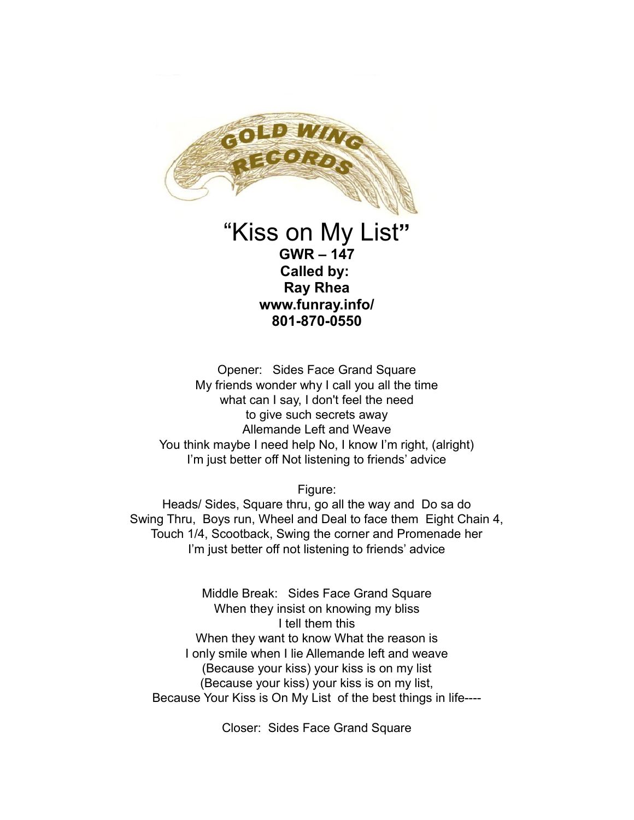

## "Kiss on My List**" GWR – 147 Called by: Ray Rhea www.funray.info/ 801-870-0550**

Opener: Sides Face Grand Square My friends wonder why I call you all the time what can I say, I don't feel the need to give such secrets away Allemande Left and Weave You think maybe I need help No, I know I'm right, (alright) I'm just better off Not listening to friends' advice

Figure:

Heads/ Sides, Square thru, go all the way and Do sa do Swing Thru, Boys run, Wheel and Deal to face them Eight Chain 4, Touch 1/4, Scootback, Swing the corner and Promenade her I'm just better off not listening to friends' advice

Middle Break: Sides Face Grand Square When they insist on knowing my bliss I tell them this When they want to know What the reason is I only smile when I lie Allemande left and weave (Because your kiss) your kiss is on my list (Because your kiss) your kiss is on my list, Because Your Kiss is On My List of the best things in life----

Closer: Sides Face Grand Square